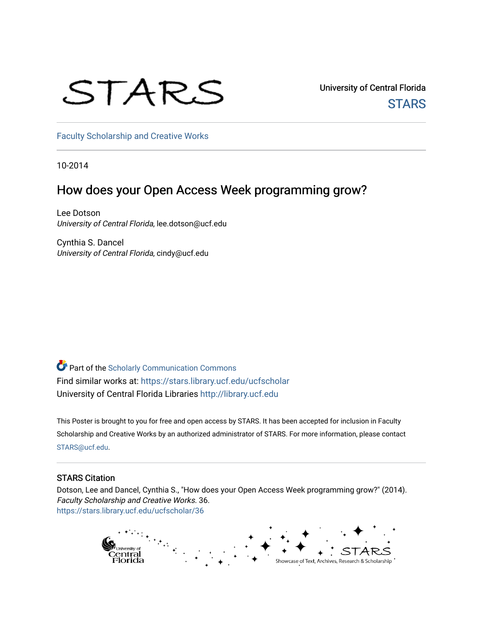### STARS

University of Central Florida **STARS** 

[Faculty Scholarship and Creative Works](https://stars.library.ucf.edu/ucfscholar) 

10-2014

### How does your Open Access Week programming grow?

Lee Dotson University of Central Florida, lee.dotson@ucf.edu

Cynthia S. Dancel University of Central Florida, cindy@ucf.edu

**Part of the Scholarly Communication Commons** Find similar works at: <https://stars.library.ucf.edu/ucfscholar> University of Central Florida Libraries [http://library.ucf.edu](http://library.ucf.edu/) 

This Poster is brought to you for free and open access by STARS. It has been accepted for inclusion in Faculty Scholarship and Creative Works by an authorized administrator of STARS. For more information, please contact [STARS@ucf.edu](mailto:STARS@ucf.edu).

### STARS Citation

Dotson, Lee and Dancel, Cynthia S., "How does your Open Access Week programming grow?" (2014). Faculty Scholarship and Creative Works. 36. [https://stars.library.ucf.edu/ucfscholar/36](https://stars.library.ucf.edu/ucfscholar/36?utm_source=stars.library.ucf.edu%2Fucfscholar%2F36&utm_medium=PDF&utm_campaign=PDFCoverPages)